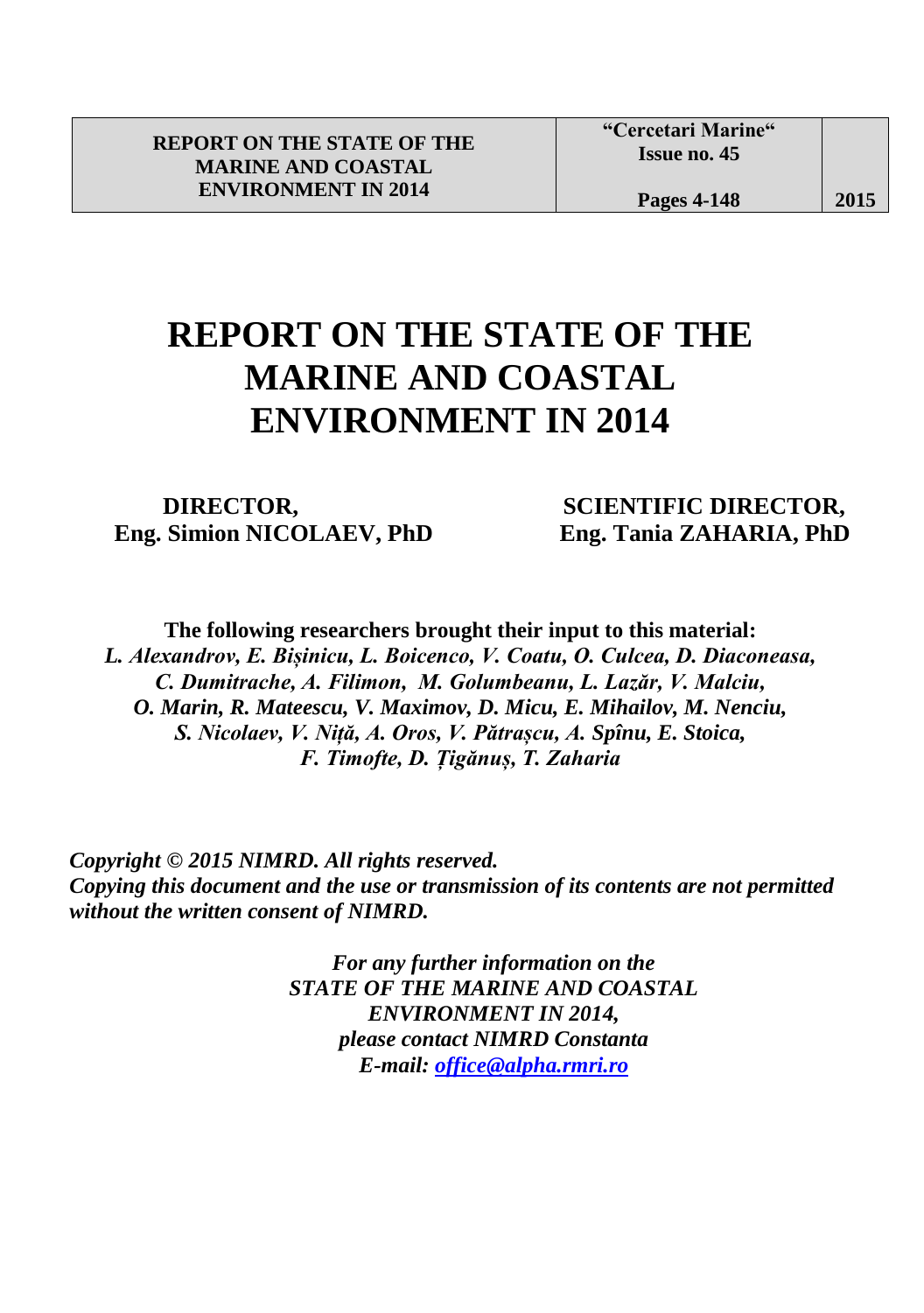## **REPORT ON THE STATE OF THE MARINE AND COASTAL ENVIRONMENT IN 2014**

l

 **Eng. Simion NICOLAEV, PhD Eng. Tania ZAHARIA, PhD**

**DIRECTOR, SCIENTIFIC DIRECTOR,** 

**The following researchers brought their input to this material:** *L. Alexandrov, E. Bișinicu, L. Boicenco, V. Coatu, O. Culcea, D. Diaconeasa, C. Dumitrache, A. Filimon, M. Golumbeanu, L. Lazăr, V. Malciu, O. Marin, R. Mateescu, V. Maximov, D. Micu, E. Mihailov, M. Nenciu, S. Nicolaev, V. Niță, A. Oros, V. Pătrașcu, A. Spînu, E. Stoica, F. Timofte, D. Țigănuș, T. Zaharia*

 *Copyright © 2015 NIMRD. All rights reserved. Copying this document and the use or transmission of its contents are not permitted without the written consent of NIMRD.*

> *For any further information on the STATE OF THE MARINE AND COASTAL ENVIRONMENT IN 2014, please contact NIMRD Constanta E-mail: [office@alpha.rmri.ro](mailto:office@alpha.rmri.ro)*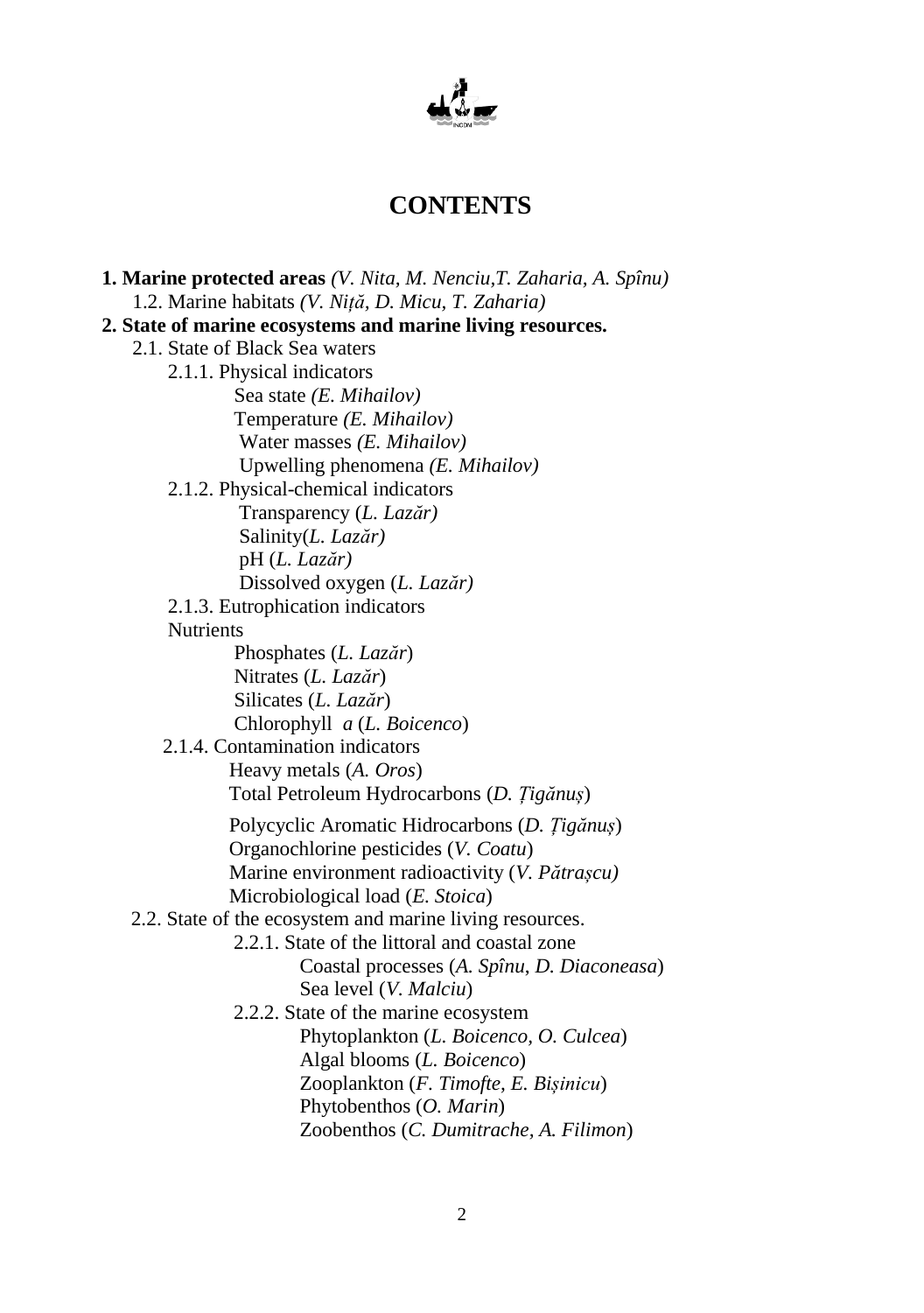

## **CONTENTS**

 **1. Marine protected areas** *(V. Nita, M. Nenciu,T. Zaharia, A. Spînu)* 1.2. Marine habitats *(V. Niță, D. Micu, T. Zaharia)*  **2. State of marine ecosystems and marine living resources.** 2.1. State of Black Sea waters 2.1.1. Physical indicators Sea state *(E. Mihailov)* Temperature *(E. Mihailov)* Water masses *(E. Mihailov)* Upwelling phenomena *(E. Mihailov)* 2.1.2. Physical-chemical indicators Transparency (*L. Lazăr)* Salinity(*L. Lazăr)* pH (*L. Lazăr)* Dissolved oxygen (*L. Lazăr)* 2.1.3. Eutrophication indicators **Nutrients**  Phosphates (*L. Lazăr*) Nitrates (*L. Lazăr*) Silicates (*L. Lazăr*) Chlorophyll *a* (*L. Boicenco*) 2.1.4. Contamination indicators Heavy metals (*A. Oros*) Total Petroleum Hydrocarbons (*D. Țigănuș*) Polycyclic Aromatic Hidrocarbons (*D. Țigănuș*) Organochlorine pesticides (*V. Coatu*) Marine environment radioactivity (*V. Pătrașcu)* Microbiological load (*E. Stoica*) 2.2. State of the ecosystem and marine living resources. 2.2.1. State of the littoral and coastal zone Coastal processes (*A. Spînu*, *D. Diaconeasa*) Sea level (*V. Malciu*) 2.2.2. State of the marine ecosystem Phytoplankton (*L. Boicenco, O. Culcea*) Algal blooms (*L. Boicenco*) Zooplankton (*F. Timofte, E. Bișinicu*) Phytobenthos (*O. Marin*) Zoobenthos (*C. Dumitrache, A. Filimon*)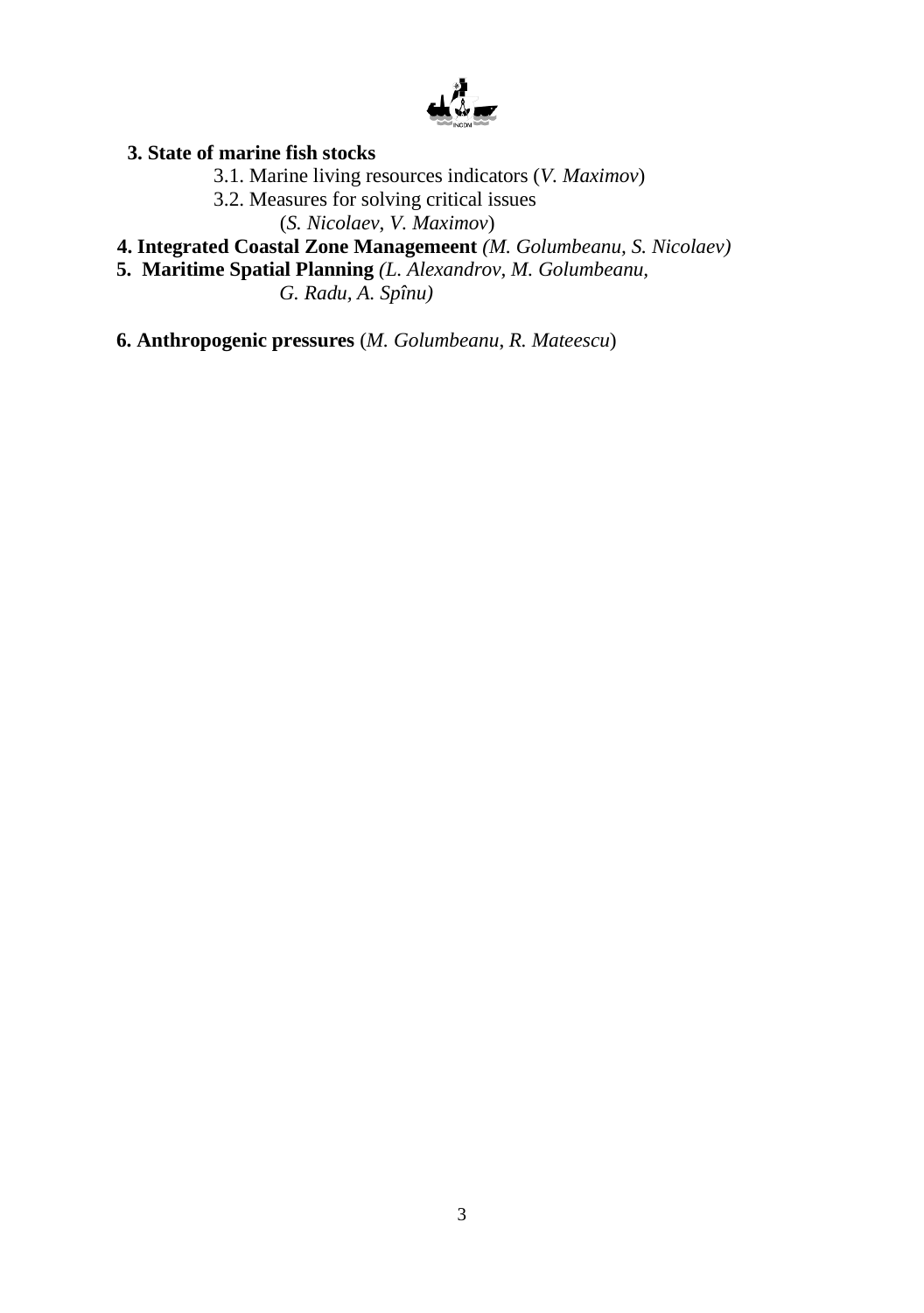

## **3. State of marine fish stocks**

- 3.1. Marine living resources indicators (*V. Maximov*)
- 3.2. Measures for solving critical issues

(*S. Nicolaev*, *V. Maximov*)

- **4. Integrated Coastal Zone Managemeent** *(M. Golumbeanu, S. Nicolaev)*
- **5. Maritime Spatial Planning** *(L. Alexandrov, M. Golumbeanu,*

 *G. Radu, A. Spînu)*

**6. Anthropogenic pressures** (*M. Golumbeanu*, *R. Mateescu*)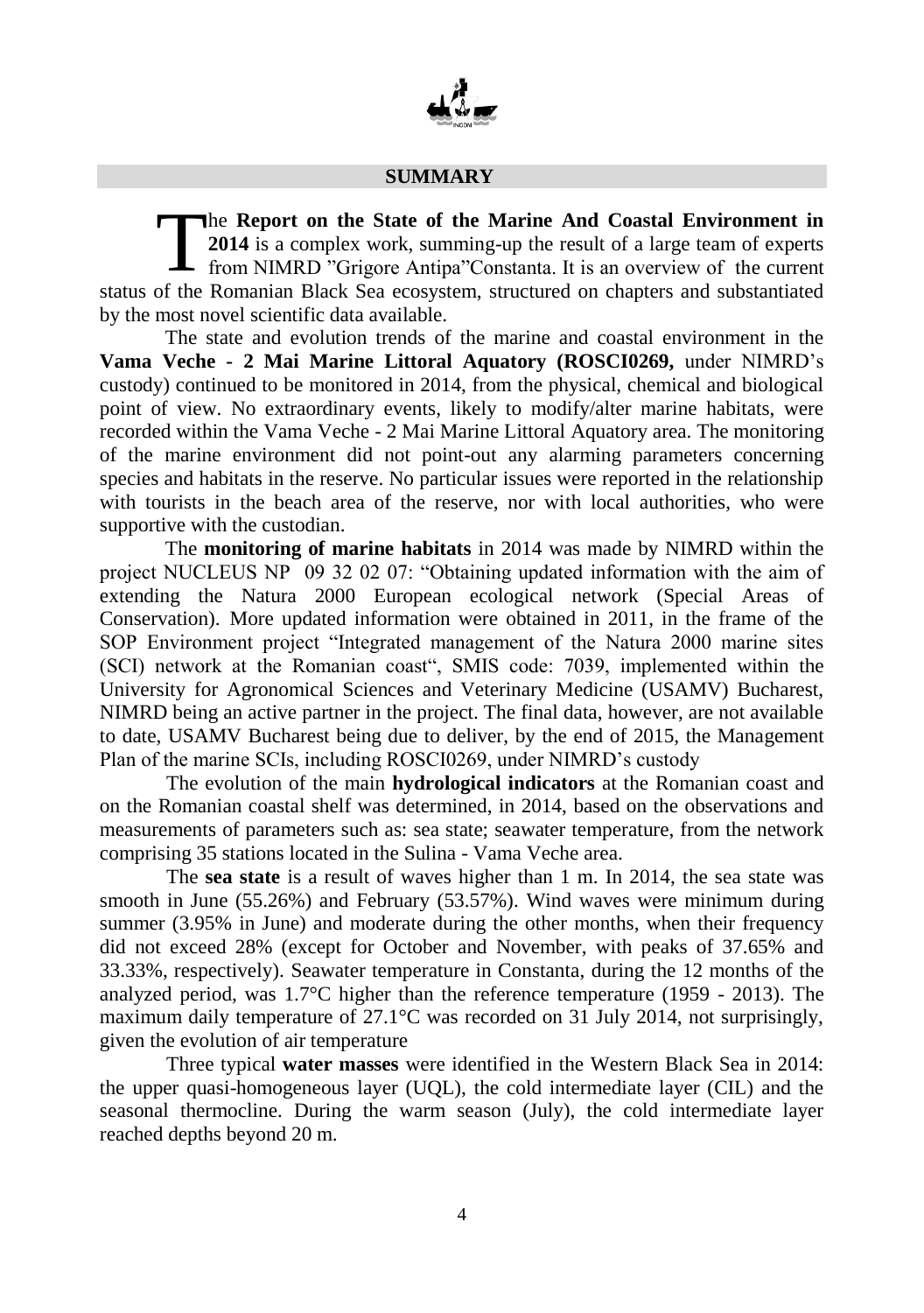

## **SUMMARY**

he **Report on the State of the Marine And Coastal Environment in 2014** is a complex work, summing-up the result of a large team of experts - from NIMRD "Grigore Antipa" Constanta. It is an overview of the current status of the Romanian Black Sea ecosystem, structured on chapters and substantiated by the most novel scientific data available. T

The state and evolution trends of the marine and coastal environment in the **Vama Veche - 2 Mai Marine Littoral Aquatory (ROSCI0269,** under NIMRD's custody) continued to be monitored in 2014, from the physical, chemical and biological point of view. No extraordinary events, likely to modify/alter marine habitats, were recorded within the Vama Veche - 2 Mai Marine Littoral Aquatory area. The monitoring of the marine environment did not point-out any alarming parameters concerning species and habitats in the reserve. No particular issues were reported in the relationship with tourists in the beach area of the reserve, nor with local authorities, who were supportive with the custodian.

The **monitoring of marine habitats** in 2014 was made by NIMRD within the project NUCLEUS NP 09 32 02 07: "Obtaining updated information with the aim of extending the Natura 2000 European ecological network (Special Areas of Conservation). More updated information were obtained in 2011, in the frame of the SOP Environment project "Integrated management of the Natura 2000 marine sites (SCI) network at the Romanian coast", SMIS code: 7039, implemented within the University for Agronomical Sciences and Veterinary Medicine (USAMV) Bucharest, NIMRD being an active partner in the project. The final data, however, are not available to date, USAMV Bucharest being due to deliver, by the end of 2015, the Management Plan of the marine SCIs, including ROSCI0269, under NIMRD's custody

The evolution of the main **hydrological indicators** at the Romanian coast and on the Romanian coastal shelf was determined, in 2014, based on the observations and measurements of parameters such as: sea state; seawater temperature, from the network comprising 35 stations located in the Sulina - Vama Veche area.

The **sea state** is a result of waves higher than 1 m. In 2014, the sea state was smooth in June (55.26%) and February (53.57%). Wind waves were minimum during summer (3.95% in June) and moderate during the other months, when their frequency did not exceed 28% (except for October and November, with peaks of 37.65% and 33.33%, respectively). Seawater temperature in Constanta, during the 12 months of the analyzed period, was  $1.7^{\circ}$ C higher than the reference temperature (1959 - 2013). The maximum daily temperature of 27.1°C was recorded on 31 July 2014, not surprisingly, given the evolution of air temperature

Three typical **water masses** were identified in the Western Black Sea in 2014: the upper quasi-homogeneous layer (UQL), the cold intermediate layer (CIL) and the seasonal thermocline. During the warm season (July), the cold intermediate layer reached depths beyond 20 m.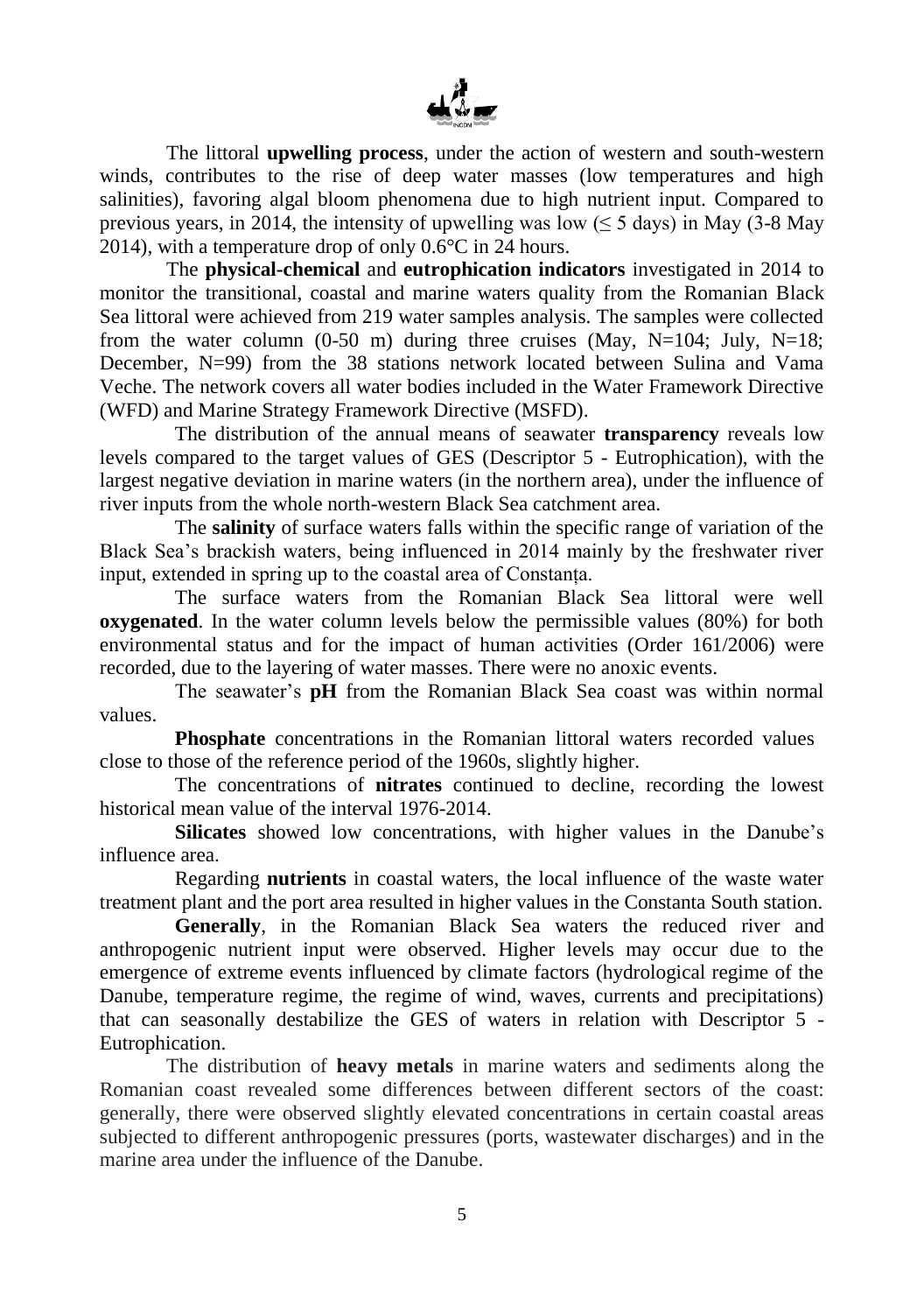

The littoral **upwelling process**, under the action of western and south-western winds, contributes to the rise of deep water masses (low temperatures and high salinities), favoring algal bloom phenomena due to high nutrient input. Compared to previous years, in 2014, the intensity of upwelling was low ( $\leq$  5 days) in May (3-8 May 2014), with a temperature drop of only 0.6°C in 24 hours.

The **physical-chemical** and **eutrophication indicators** investigated in 2014 to monitor the transitional, coastal and marine waters quality from the Romanian Black Sea littoral were achieved from 219 water samples analysis. The samples were collected from the water column (0-50 m) during three cruises (May, N=104; July, N=18; December, N=99) from the 38 stations network located between Sulina and Vama Veche. The network covers all water bodies included in the Water Framework Directive (WFD) and Marine Strategy Framework Directive (MSFD).

The distribution of the annual means of seawater **transparency** reveals low levels compared to the target values of GES (Descriptor 5 - Eutrophication), with the largest negative deviation in marine waters (in the northern area), under the influence of river inputs from the whole north-western Black Sea catchment area.

The **salinity** of surface waters falls within the specific range of variation of the Black Sea's brackish waters, being influenced in 2014 mainly by the freshwater river input, extended in spring up to the coastal area of Constanța.

The surface waters from the Romanian Black Sea littoral were well **oxygenated**. In the water column levels below the permissible values (80%) for both environmental status and for the impact of human activities (Order 161/2006) were recorded, due to the layering of water masses. There were no anoxic events.

The seawater's **pH** from the Romanian Black Sea coast was within normal values.

**Phosphate** concentrations in the Romanian littoral waters recorded values close to those of the reference period of the 1960s, slightly higher.

The concentrations of **nitrates** continued to decline, recording the lowest historical mean value of the interval 1976-2014.

**Silicates** showed low concentrations, with higher values in the Danube's influence area.

Regarding **nutrients** in coastal waters, the local influence of the waste water treatment plant and the port area resulted in higher values in the Constanta South station.

**Generally**, in the Romanian Black Sea waters the reduced river and anthropogenic nutrient input were observed. Higher levels may occur due to the emergence of extreme events influenced by climate factors (hydrological regime of the Danube, temperature regime, the regime of wind, waves, currents and precipitations) that can seasonally destabilize the GES of waters in relation with Descriptor 5 - Eutrophication.

The distribution of **heavy metals** in marine waters and sediments along the Romanian coast revealed some differences between different sectors of the coast: generally, there were observed slightly elevated concentrations in certain coastal areas subjected to different anthropogenic pressures (ports, wastewater discharges) and in the marine area under the influence of the Danube.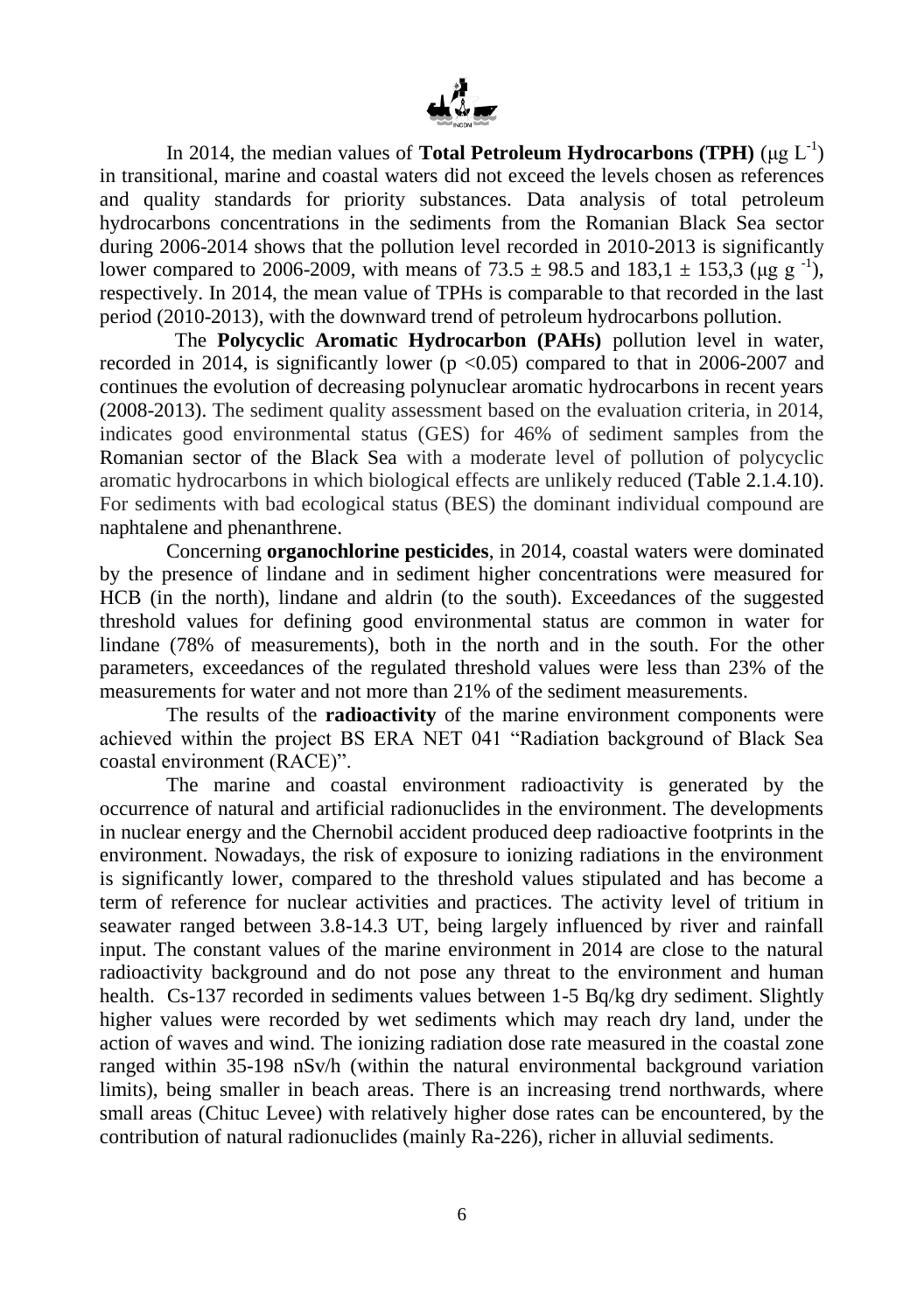

In 2014, the median values of **Total Petroleum Hydrocarbons** (**TPH**) ( $\mu$ g L<sup>-1</sup>) in transitional, marine and coastal waters did not exceed the levels chosen as references and quality standards for priority substances. Data analysis of total petroleum hydrocarbons concentrations in the sediments from the Romanian Black Sea sector during 2006-2014 shows that the pollution level recorded in 2010-2013 is significantly lower compared to 2006-2009, with means of  $73.5 \pm 98.5$  and  $183.1 \pm 153.3$  (µg g<sup>-1</sup>), respectively. In 2014, the mean value of TPHs is comparable to that recorded in the last period (2010-2013), with the downward trend of petroleum hydrocarbons pollution.

The **Polycyclic Aromatic Hydrocarbon (PAHs)** pollution level in water, recorded in 2014, is significantly lower ( $p \le 0.05$ ) compared to that in 2006-2007 and continues the evolution of decreasing polynuclear aromatic hydrocarbons in recent years (2008-2013). The sediment quality assessment based on the evaluation criteria, in 2014, indicates good environmental status (GES) for 46% of sediment samples from the Romanian sector of the Black Sea with a moderate level of pollution of polycyclic aromatic hydrocarbons in which biological effects are unlikely reduced (Table 2.1.4.10). For sediments with bad ecological status (BES) the dominant individual compound are naphtalene and phenanthrene.

Concerning **organochlorine pesticides**, in 2014, coastal waters were dominated by the presence of lindane and in sediment higher concentrations were measured for HCB (in the north), lindane and aldrin (to the south). Exceedances of the suggested threshold values for defining good environmental status are common in water for lindane (78% of measurements), both in the north and in the south. For the other parameters, exceedances of the regulated threshold values were less than 23% of the measurements for water and not more than 21% of the sediment measurements.

The results of the **radioactivity** of the marine environment components were achieved within the project BS ERA NET 041 "Radiation background of Black Sea coastal environment (RACE)".

The marine and coastal environment radioactivity is generated by the occurrence of natural and artificial radionuclides in the environment. The developments in nuclear energy and the Chernobil accident produced deep radioactive footprints in the environment. Nowadays, the risk of exposure to ionizing radiations in the environment is significantly lower, compared to the threshold values stipulated and has become a term of reference for nuclear activities and practices. The activity level of tritium in seawater ranged between 3.8-14.3 UT, being largely influenced by river and rainfall input. The constant values of the marine environment in 2014 are close to the natural radioactivity background and do not pose any threat to the environment and human health. Cs-137 recorded in sediments values between 1-5 Bq/kg dry sediment. Slightly higher values were recorded by wet sediments which may reach dry land, under the action of waves and wind. The ionizing radiation dose rate measured in the coastal zone ranged within 35-198 nSv/h (within the natural environmental background variation limits), being smaller in beach areas. There is an increasing trend northwards, where small areas (Chituc Levee) with relatively higher dose rates can be encountered, by the contribution of natural radionuclides (mainly Ra-226), richer in alluvial sediments.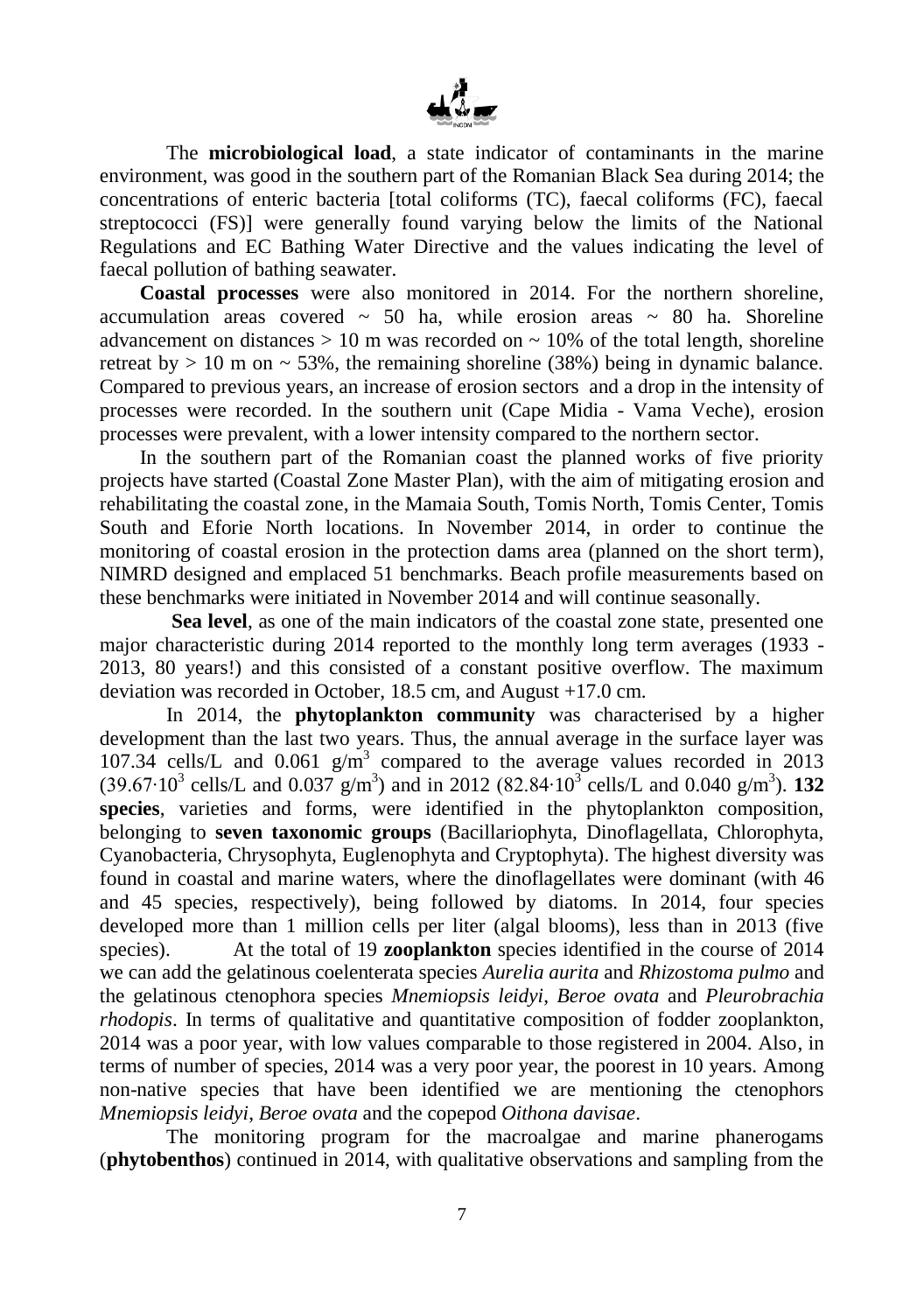

The **microbiological load**, a state indicator of contaminants in the marine environment, was good in the southern part of the Romanian Black Sea during 2014; the concentrations of enteric bacteria [total coliforms (TC), faecal coliforms (FC), faecal streptococci (FS)] were generally found varying below the limits of the National Regulations and EC Bathing Water Directive and the values indicating the level of faecal pollution of bathing seawater.

**Coastal processes** were also monitored in 2014. For the northern shoreline, accumulation areas covered  $\sim$  50 ha, while erosion areas  $\sim$  80 ha. Shoreline advancement on distances  $> 10$  m was recorded on  $\sim 10\%$  of the total length, shoreline retreat by  $> 10$  m on  $\sim$  53%, the remaining shoreline (38%) being in dynamic balance. Compared to previous years, an increase of erosion sectors and a drop in the intensity of processes were recorded. In the southern unit (Cape Midia - Vama Veche), erosion processes were prevalent, with a lower intensity compared to the northern sector.

In the southern part of the Romanian coast the planned works of five priority projects have started (Coastal Zone Master Plan), with the aim of mitigating erosion and rehabilitating the coastal zone, in the Mamaia South, Tomis North, Tomis Center, Tomis South and Eforie North locations. In November 2014, in order to continue the monitoring of coastal erosion in the protection dams area (planned on the short term), NIMRD designed and emplaced 51 benchmarks. Beach profile measurements based on these benchmarks were initiated in November 2014 and will continue seasonally.

**Sea level**, as one of the main indicators of the coastal zone state, presented one major characteristic during 2014 reported to the monthly long term averages (1933 - 2013, 80 years!) and this consisted of a constant positive overflow. The maximum deviation was recorded in October, 18.5 cm, and August +17.0 cm.

In 2014, the **phytoplankton community** was characterised by a higher development than the last two years. Thus, the annual average in the surface layer was 107.34 cells/L and  $0.061$  g/m<sup>3</sup> compared to the average values recorded in 2013 (39.67⋅10<sup>3</sup> cells/L and 0.037 g/m<sup>3</sup>) and in 2012 (82.84⋅10<sup>3</sup> cells/L and 0.040 g/m<sup>3</sup>). **132 species**, varieties and forms, were identified in the phytoplankton composition, belonging to **seven taxonomic groups** (Bacillariophyta, Dinoflagellata, Chlorophyta, Cyanobacteria, Chrysophyta, Euglenophyta and Cryptophyta). The highest diversity was found in coastal and marine waters, where the dinoflagellates were dominant (with 46 and 45 species, respectively), being followed by diatoms. In 2014, four species developed more than 1 million cells per liter (algal blooms), less than in 2013 (five species). At the total of 19 **zooplankton** species identified in the course of 2014 we can add the gelatinous coelenterata species *Aurelia aurita* and *Rhizostoma pulmo* and the gelatinous ctenophora species *Mnemiopsis leidyi*, *Beroe ovata* and *Pleurobrachia rhodopis*. In terms of qualitative and quantitative composition of fodder zooplankton, 2014 was a poor year, with low values comparable to those registered in 2004. Also, in terms of number of species, 2014 was a very poor year, the poorest in 10 years. Among non-native species that have been identified we are mentioning the ctenophors *Mnemiopsis leidyi*, *Beroe ovata* and the copepod *Oithona davisae*.

The monitoring program for the macroalgae and marine phanerogams (**phytobenthos**) continued in 2014, with qualitative observations and sampling from the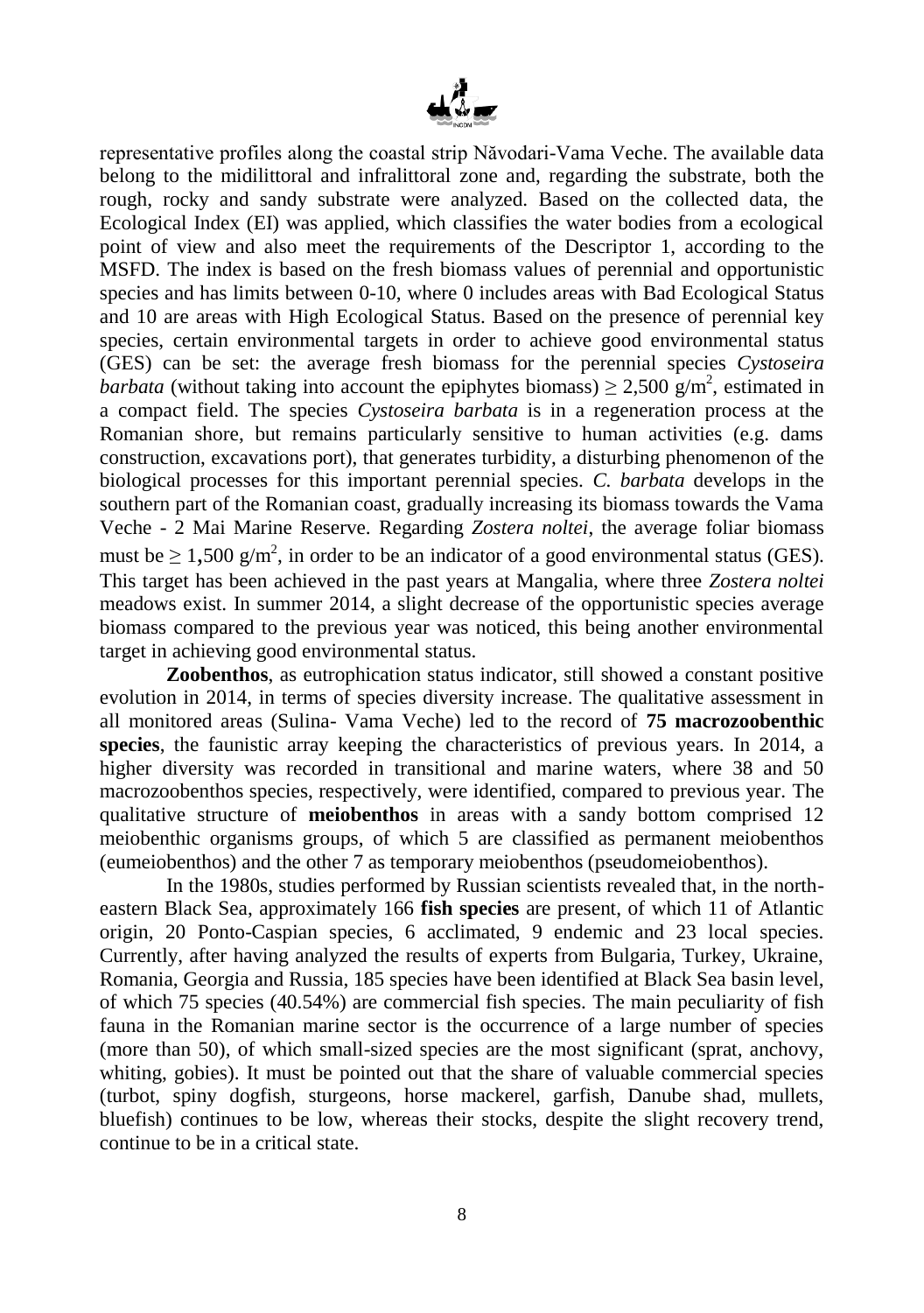

representative profiles along the coastal strip Năvodari-Vama Veche. The available data belong to the midilittoral and infralittoral zone and, regarding the substrate, both the rough, rocky and sandy substrate were analyzed. Based on the collected data, the Ecological Index (EI) was applied, which classifies the water bodies from a ecological point of view and also meet the requirements of the Descriptor 1, according to the MSFD. The index is based on the fresh biomass values of perennial and opportunistic species and has limits between 0-10, where 0 includes areas with Bad Ecological Status and 10 are areas with High Ecological Status. Based on the presence of perennial key species, certain environmental targets in order to achieve good environmental status (GES) can be set: the average fresh biomass for the perennial species *Cystoseira barbata* (without taking into account the epiphytes biomass)  $\geq 2,500$  g/m<sup>2</sup>, estimated in a compact field. The species *Cystoseira barbata* is in a regeneration process at the Romanian shore, but remains particularly sensitive to human activities (e.g. dams construction, excavations port), that generates turbidity, a disturbing phenomenon of the biological processes for this important perennial species. *C. barbata* develops in the southern part of the Romanian coast, gradually increasing its biomass towards the Vama Veche - 2 Mai Marine Reserve. Regarding *Zostera noltei*, the average foliar biomass must be  $\geq 1,500 \text{ g/m}^2$ , in order to be an indicator of a good environmental status (GES). This target has been achieved in the past years at Mangalia, where three *Zostera noltei* meadows exist. In summer 2014, a slight decrease of the opportunistic species average biomass compared to the previous year was noticed, this being another environmental target in achieving good environmental status.

**Zoobenthos**, as eutrophication status indicator, still showed a constant positive evolution in 2014, in terms of species diversity increase. The qualitative assessment in all monitored areas (Sulina- Vama Veche) led to the record of **75 macrozoobenthic species**, the faunistic array keeping the characteristics of previous years. In 2014, a higher diversity was recorded in transitional and marine waters, where 38 and 50 macrozoobenthos species, respectively, were identified, compared to previous year. The qualitative structure of **meiobenthos** in areas with a sandy bottom comprised 12 meiobenthic organisms groups, of which 5 are classified as permanent meiobenthos (eumeiobenthos) and the other 7 as temporary meiobenthos (pseudomeiobenthos).

In the 1980s, studies performed by Russian scientists revealed that, in the northeastern Black Sea, approximately 166 **fish species** are present, of which 11 of Atlantic origin, 20 Ponto-Caspian species, 6 acclimated, 9 endemic and 23 local species. Currently, after having analyzed the results of experts from Bulgaria, Turkey, Ukraine, Romania, Georgia and Russia, 185 species have been identified at Black Sea basin level, of which 75 species (40.54%) are commercial fish species. The main peculiarity of fish fauna in the Romanian marine sector is the occurrence of a large number of species (more than 50), of which small-sized species are the most significant (sprat, anchovy, whiting, gobies). It must be pointed out that the share of valuable commercial species (turbot, spiny dogfish, sturgeons, horse mackerel, garfish, Danube shad, mullets, bluefish) continues to be low, whereas their stocks, despite the slight recovery trend, continue to be in a critical state.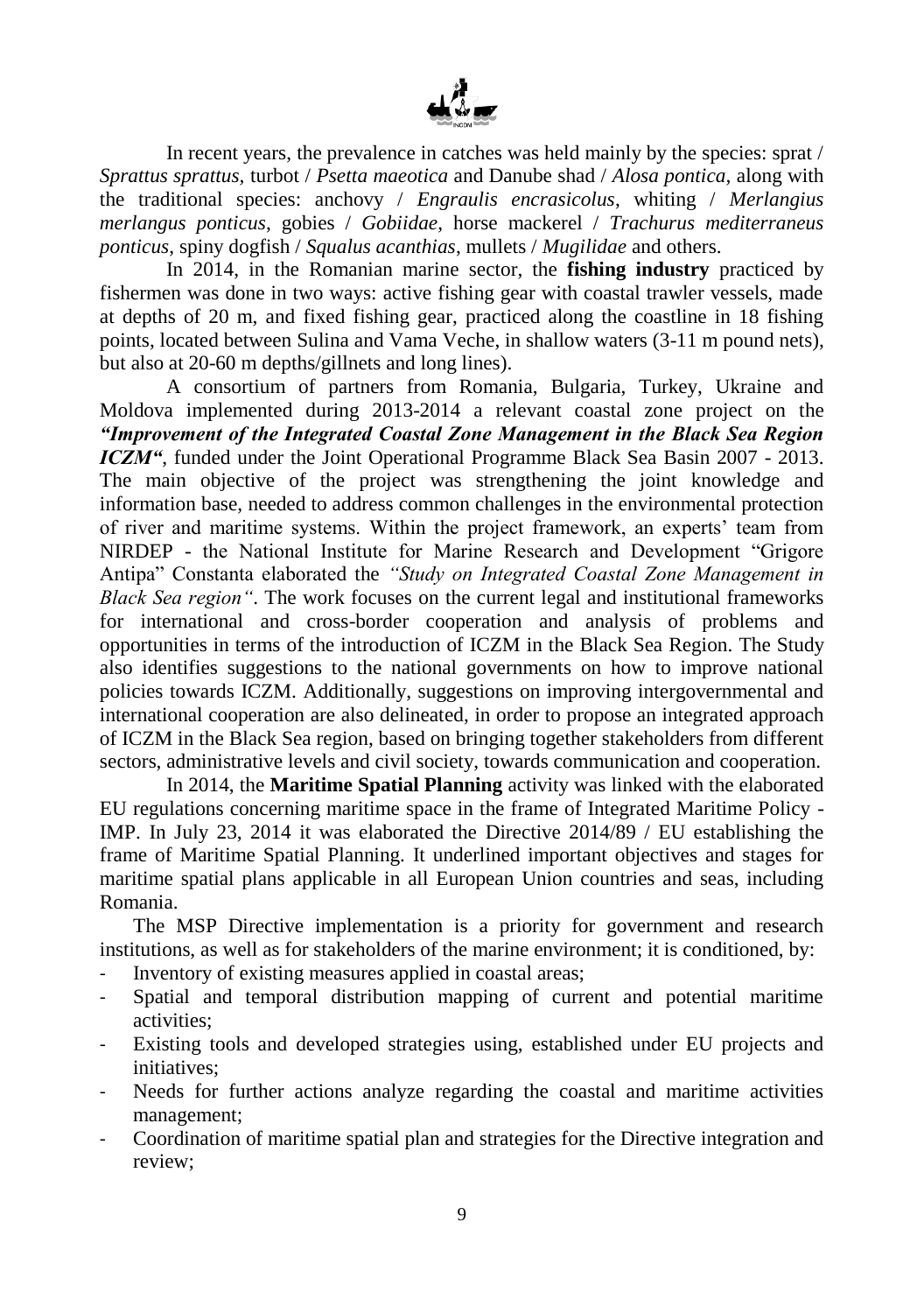

In recent years, the prevalence in catches was held mainly by the species: sprat / *Sprattus sprattus,* turbot / *Psetta maeotica* and Danube shad / *Alosa pontica,* along with the traditional species: anchovy / *Engraulis encrasicolus*, whiting / *Merlangius merlangus ponticus*, gobies / *Gobiidae*, horse mackerel / *Trachurus mediterraneus ponticus*, spiny dogfish / *Squalus acanthias*, mullets / *Mugilidae* and others.

In 2014, in the Romanian marine sector, the **fishing industry** practiced by fishermen was done in two ways: active fishing gear with coastal trawler vessels, made at depths of 20 m, and fixed fishing gear, practiced along the coastline in 18 fishing points, located between Sulina and Vama Veche, in shallow waters (3-11 m pound nets), but also at 20-60 m depths/gillnets and long lines).

A consortium of partners from Romania, Bulgaria, Turkey, Ukraine and Moldova implemented during 2013-2014 a relevant coastal zone project on the *"Improvement of the Integrated Coastal Zone Management in the Black Sea Region ICZM"*, funded under the Joint Operational Programme Black Sea Basin 2007 - 2013. The main objective of the project was strengthening the joint knowledge and information base, needed to address common challenges in the environmental protection of river and maritime systems. Within the project framework, an experts' team from NIRDEP - the National Institute for Marine Research and Development "Grigore Antipa" Constanta elaborated the *"Study on Integrated Coastal Zone Management in Black Sea region"*. The work focuses on the current legal and institutional frameworks for international and cross-border cooperation and analysis of problems and opportunities in terms of the introduction of ICZM in the Black Sea Region. The Study also identifies suggestions to the national governments on how to improve national policies towards ICZM. Additionally, suggestions on improving intergovernmental and international cooperation are also delineated, in order to propose an integrated approach of ICZM in the Black Sea region, based on bringing together stakeholders from different sectors, administrative levels and civil society, towards communication and cooperation.

In 2014, the **Maritime Spatial Planning** activity was linked with the elaborated EU regulations concerning maritime space in the frame of Integrated Maritime Policy - IMP. In July 23, 2014 it was elaborated the Directive 2014/89 / EU establishing the frame of Maritime Spatial Planning. It underlined important objectives and stages for maritime spatial plans applicable in all European Union countries and seas, including Romania.

The MSP Directive implementation is a priority for government and research institutions, as well as for stakeholders of the marine environment; it is conditioned, by:

- Inventory of existing measures applied in coastal areas;
- Spatial and temporal distribution mapping of current and potential maritime activities;
- Existing tools and developed strategies using, established under EU projects and initiatives;
- Needs for further actions analyze regarding the coastal and maritime activities management;
- Coordination of maritime spatial plan and strategies for the Directive integration and review;